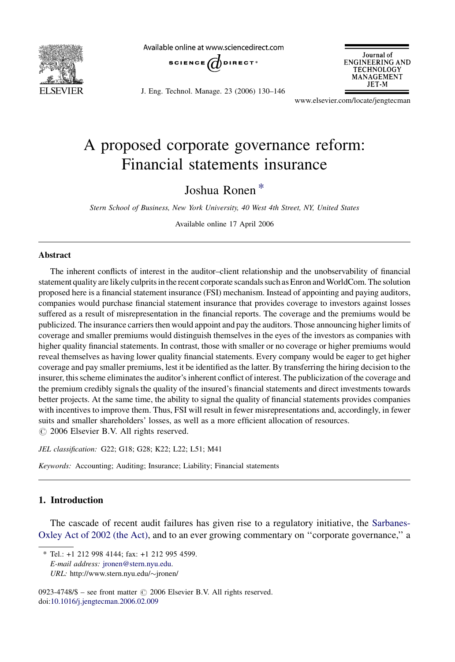

Available online at www.sciencedirect.com



J. Eng. Technol. Manage. 23 (2006) 130–146

Journal of **ENGINEERING AND TECHNOLOGY MANAGEMENT** JET-M

www.elsevier.com/locate/jengtecman

# A proposed corporate governance reform: Financial statements insurance

## Joshua Ronen \*

Stern School of Business, New York University, 40 West 4th Street, NY, United States

Available online 17 April 2006

#### Abstract

The inherent conflicts of interest in the auditor–client relationship and the unobservability of financial statement quality are likely culprits inthe recent corporate scandals such as Enron andWorldCom. The solution proposed here is a financial statement insurance (FSI) mechanism. Instead of appointing and paying auditors, companies would purchase financial statement insurance that provides coverage to investors against losses suffered as a result of misrepresentation in the financial reports. The coverage and the premiums would be publicized. The insurance carriers then would appoint and pay the auditors. Those announcing higher limits of coverage and smaller premiums would distinguish themselves in the eyes of the investors as companies with higher quality financial statements. In contrast, those with smaller or no coverage or higher premiums would reveal themselves as having lower quality financial statements. Every company would be eager to get higher coverage and pay smaller premiums, lest it be identified as the latter. By transferring the hiring decision to the insurer, this scheme eliminates the auditor's inherent conflict of interest. The publicization of the coverage and the premium credibly signals the quality of the insured's financial statements and direct investments towards better projects. At the same time, the ability to signal the quality of financial statements provides companies with incentives to improve them. Thus, FSI will result in fewer misrepresentations and, accordingly, in fewer suits and smaller shareholders' losses, as well as a more efficient allocation of resources.  $\odot$  2006 Elsevier B.V. All rights reserved.

JEL classification: G22; G18; G28; K22; L22; L51; M41

Keywords: Accounting; Auditing; Insurance; Liability; Financial statements

### 1. Introduction

The cascade of recent audit failures has given rise to a regulatory initiative, the [Sarbanes-](#page-16-0)[Oxley Act of 2002 \(the Act\)](#page-16-0), and to an ever growing commentary on ''corporate governance,'' a

\* Tel.: +1 212 998 4144; fax: +1 212 995 4599. E-mail address: [jronen@stern.nyu.edu](mailto:jronen@stern.nyu.edu).  $URL: \text{http://www.stern.nyu.edu/~jronen/})$ 

0923-4748/\$ – see front matter  $\odot$  2006 Elsevier B.V. All rights reserved. doi[:10.1016/j.jengtecman.2006.02.009](http://dx.doi.org/10.1016/j.jengtecman.2006.02.009)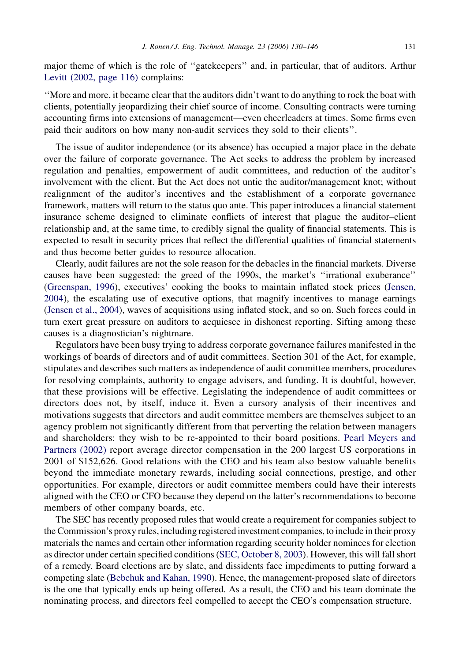major theme of which is the role of ''gatekeepers'' and, in particular, that of auditors. Arthur [Levitt \(2002, page 116\)](#page-16-0) complains:

''More and more, it became clear that the auditors didn't want to do anything to rock the boat with clients, potentially jeopardizing their chief source of income. Consulting contracts were turning accounting firms into extensions of management—even cheerleaders at times. Some firms even paid their auditors on how many non-audit services they sold to their clients''.

The issue of auditor independence (or its absence) has occupied a major place in the debate over the failure of corporate governance. The Act seeks to address the problem by increased regulation and penalties, empowerment of audit committees, and reduction of the auditor's involvement with the client. But the Act does not untie the auditor/management knot; without realignment of the auditor's incentives and the establishment of a corporate governance framework, matters will return to the status quo ante. This paper introduces a financial statement insurance scheme designed to eliminate conflicts of interest that plague the auditor–client relationship and, at the same time, to credibly signal the quality of financial statements. This is expected to result in security prices that reflect the differential qualities of financial statements and thus become better guides to resource allocation.

Clearly, audit failures are not the sole reason for the debacles in the financial markets. Diverse causes have been suggested: the greed of the 1990s, the market's ''irrational exuberance'' ([Greenspan, 1996\)](#page-16-0), executives' cooking the books to maintain inflated stock prices ([Jensen,](#page-16-0) [2004](#page-16-0)), the escalating use of executive options, that magnify incentives to manage earnings ([Jensen et al., 2004](#page-16-0)), waves of acquisitions using inflated stock, and so on. Such forces could in turn exert great pressure on auditors to acquiesce in dishonest reporting. Sifting among these causes is a diagnostician's nightmare.

Regulators have been busy trying to address corporate governance failures manifested in the workings of boards of directors and of audit committees. Section 301 of the Act, for example, stipulates and describes such matters as independence of audit committee members, procedures for resolving complaints, authority to engage advisers, and funding. It is doubtful, however, that these provisions will be effective. Legislating the independence of audit committees or directors does not, by itself, induce it. Even a cursory analysis of their incentives and motivations suggests that directors and audit committee members are themselves subject to an agency problem not significantly different from that perverting the relation between managers and shareholders: they wish to be re-appointed to their board positions. [Pearl Meyers and](#page-16-0) [Partners \(2002\)](#page-16-0) report average director compensation in the 200 largest US corporations in 2001 of \$152,626. Good relations with the CEO and his team also bestow valuable benefits beyond the immediate monetary rewards, including social connections, prestige, and other opportunities. For example, directors or audit committee members could have their interests aligned with the CEO or CFO because they depend on the latter's recommendations to become members of other company boards, etc.

The SEC has recently proposed rules that would create a requirement for companies subject to the Commission's proxy rules, including registered investment companies, to include in their proxy materials the names and certain other information regarding security holder nominees for election as director under certain specified conditions ([SEC, October 8, 2003](#page-16-0)). However, this will fall short of a remedy. Board elections are by slate, and dissidents face impediments to putting forward a competing slate [\(Bebchuk and Kahan, 1990\)](#page-16-0). Hence, the management-proposed slate of directors is the one that typically ends up being offered. As a result, the CEO and his team dominate the nominating process, and directors feel compelled to accept the CEO's compensation structure.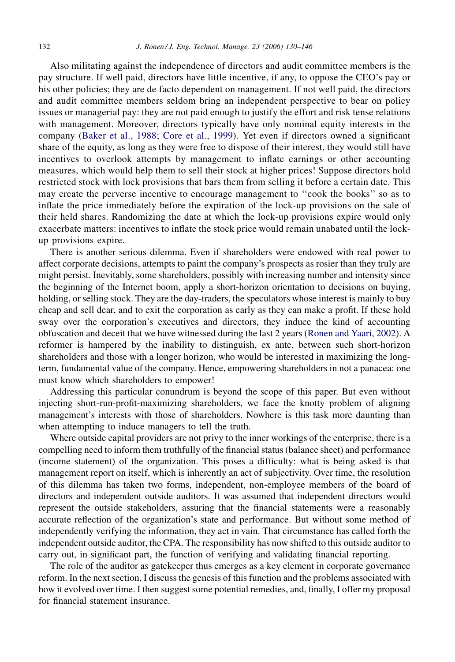Also militating against the independence of directors and audit committee members is the pay structure. If well paid, directors have little incentive, if any, to oppose the CEO's pay or his other policies; they are de facto dependent on management. If not well paid, the directors and audit committee members seldom bring an independent perspective to bear on policy issues or managerial pay: they are not paid enough to justify the effort and risk tense relations with management. Moreover, directors typically have only nominal equity interests in the company [\(Baker et al., 1988; Core et al., 1999\)](#page-15-0). Yet even if directors owned a significant share of the equity, as long as they were free to dispose of their interest, they would still have incentives to overlook attempts by management to inflate earnings or other accounting measures, which would help them to sell their stock at higher prices! Suppose directors hold restricted stock with lock provisions that bars them from selling it before a certain date. This may create the perverse incentive to encourage management to ''cook the books'' so as to inflate the price immediately before the expiration of the lock-up provisions on the sale of their held shares. Randomizing the date at which the lock-up provisions expire would only exacerbate matters: incentives to inflate the stock price would remain unabated until the lockup provisions expire.

There is another serious dilemma. Even if shareholders were endowed with real power to affect corporate decisions, attempts to paint the company's prospects as rosier than they truly are might persist. Inevitably, some shareholders, possibly with increasing number and intensity since the beginning of the Internet boom, apply a short-horizon orientation to decisions on buying, holding, or selling stock. They are the day-traders, the speculators whose interest is mainly to buy cheap and sell dear, and to exit the corporation as early as they can make a profit. If these hold sway over the corporation's executives and directors, they induce the kind of accounting obfuscation and deceit that we have witnessed during the last 2 years ([Ronen and Yaari, 2002](#page-16-0)). A reformer is hampered by the inability to distinguish, ex ante, between such short-horizon shareholders and those with a longer horizon, who would be interested in maximizing the longterm, fundamental value of the company. Hence, empowering shareholders in not a panacea: one must know which shareholders to empower!

Addressing this particular conundrum is beyond the scope of this paper. But even without injecting short-run-profit-maximizing shareholders, we face the knotty problem of aligning management's interests with those of shareholders. Nowhere is this task more daunting than when attempting to induce managers to tell the truth.

Where outside capital providers are not privy to the inner workings of the enterprise, there is a compelling need to inform them truthfully of the financial status (balance sheet) and performance (income statement) of the organization. This poses a difficulty: what is being asked is that management report on itself, which is inherently an act of subjectivity. Over time, the resolution of this dilemma has taken two forms, independent, non-employee members of the board of directors and independent outside auditors. It was assumed that independent directors would represent the outside stakeholders, assuring that the financial statements were a reasonably accurate reflection of the organization's state and performance. But without some method of independently verifying the information, they act in vain. That circumstance has called forth the independent outside auditor, the CPA. The responsibility has now shifted to this outside auditor to carry out, in significant part, the function of verifying and validating financial reporting.

The role of the auditor as gatekeeper thus emerges as a key element in corporate governance reform. In the next section, I discuss the genesis of this function and the problems associated with how it evolved over time. I then suggest some potential remedies, and, finally, I offer my proposal for financial statement insurance.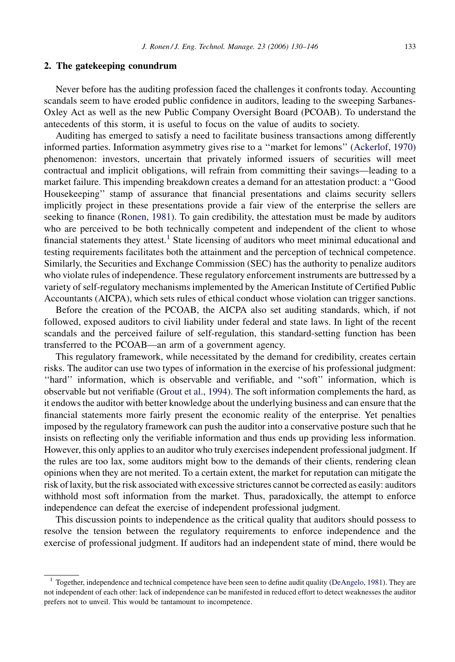#### 2. The gatekeeping conundrum

Never before has the auditing profession faced the challenges it confronts today. Accounting scandals seem to have eroded public confidence in auditors, leading to the sweeping Sarbanes-Oxley Act as well as the new Public Company Oversight Board (PCOAB). To understand the antecedents of this storm, it is useful to focus on the value of audits to society.

Auditing has emerged to satisfy a need to facilitate business transactions among differently informed parties. Information asymmetry gives rise to a ''market for lemons'' ([Ackerlof, 1970\)](#page-15-0) phenomenon: investors, uncertain that privately informed issuers of securities will meet contractual and implicit obligations, will refrain from committing their savings—leading to a market failure. This impending breakdown creates a demand for an attestation product: a ''Good Housekeeping'' stamp of assurance that financial presentations and claims security sellers implicitly project in these presentations provide a fair view of the enterprise the sellers are seeking to finance ([Ronen, 1981](#page-16-0)). To gain credibility, the attestation must be made by auditors who are perceived to be both technically competent and independent of the client to whose financial statements they attest.<sup>1</sup> State licensing of auditors who meet minimal educational and testing requirements facilitates both the attainment and the perception of technical competence. Similarly, the Securities and Exchange Commission (SEC) has the authority to penalize auditors who violate rules of independence. These regulatory enforcement instruments are buttressed by a variety of self-regulatory mechanisms implemented by the American Institute of Certified Public Accountants (AICPA), which sets rules of ethical conduct whose violation can trigger sanctions.

Before the creation of the PCOAB, the AICPA also set auditing standards, which, if not followed, exposed auditors to civil liability under federal and state laws. In light of the recent scandals and the perceived failure of self-regulation, this standard-setting function has been transferred to the PCOAB—an arm of a government agency.

This regulatory framework, while necessitated by the demand for credibility, creates certain risks. The auditor can use two types of information in the exercise of his professional judgment: ''hard'' information, which is observable and verifiable, and ''soft'' information, which is observable but not verifiable [\(Grout et al., 1994\)](#page-16-0). The soft information complements the hard, as it endows the auditor with better knowledge about the underlying business and can ensure that the financial statements more fairly present the economic reality of the enterprise. Yet penalties imposed by the regulatory framework can push the auditor into a conservative posture such that he insists on reflecting only the verifiable information and thus ends up providing less information. However, this only applies to an auditor who truly exercises independent professional judgment. If the rules are too lax, some auditors might bow to the demands of their clients, rendering clean opinions when they are not merited. To a certain extent, the market for reputation can mitigate the risk of laxity, but the risk associated with excessive strictures cannot be corrected as easily: auditors withhold most soft information from the market. Thus, paradoxically, the attempt to enforce independence can defeat the exercise of independent professional judgment.

This discussion points to independence as the critical quality that auditors should possess to resolve the tension between the regulatory requirements to enforce independence and the exercise of professional judgment. If auditors had an independent state of mind, there would be

<sup>1</sup> Together, independence and technical competence have been seen to define audit quality [\(DeAngelo, 1981\)](#page-16-0). They are not independent of each other: lack of independence can be manifested in reduced effort to detect weaknesses the auditor prefers not to unveil. This would be tantamount to incompetence.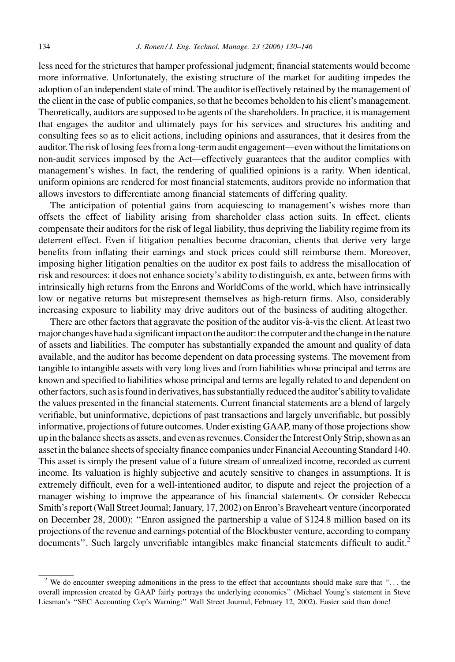less need for the strictures that hamper professional judgment; financial statements would become more informative. Unfortunately, the existing structure of the market for auditing impedes the adoption of an independent state of mind. The auditor is effectively retained by the management of the client in the case of public companies, so that he becomes beholden to his client's management. Theoretically, auditors are supposed to be agents of the shareholders. In practice, it is management that engages the auditor and ultimately pays for his services and structures his auditing and consulting fees so as to elicit actions, including opinions and assurances, that it desires from the auditor. The risk of losing fees from a long-term audit engagement—even without the limitations on non-audit services imposed by the Act—effectively guarantees that the auditor complies with management's wishes. In fact, the rendering of qualified opinions is a rarity. When identical, uniform opinions are rendered for most financial statements, auditors provide no information that allows investors to differentiate among financial statements of differing quality.

The anticipation of potential gains from acquiescing to management's wishes more than offsets the effect of liability arising from shareholder class action suits. In effect, clients compensate their auditors for the risk of legal liability, thus depriving the liability regime from its deterrent effect. Even if litigation penalties become draconian, clients that derive very large benefits from inflating their earnings and stock prices could still reimburse them. Moreover, imposing higher litigation penalties on the auditor ex post fails to address the misallocation of risk and resources: it does not enhance society's ability to distinguish, ex ante, between firms with intrinsically high returns from the Enrons and WorldComs of the world, which have intrinsically low or negative returns but misrepresent themselves as high-return firms. Also, considerably increasing exposure to liability may drive auditors out of the business of auditing altogether.

There are other factors that aggravate the position of the auditor vis- $\hat{a}$ -vis the client. At least two major changes have had a significant impact on the auditor: the computer and the change in the nature of assets and liabilities. The computer has substantially expanded the amount and quality of data available, and the auditor has become dependent on data processing systems. The movement from tangible to intangible assets with very long lives and from liabilities whose principal and terms are known and specified to liabilities whose principal and terms are legally related to and dependent on other factors, such asis foundin derivatives, has substantially reducedthe auditor's abilityto validate the values presented in the financial statements. Current financial statements are a blend of largely verifiable, but uninformative, depictions of past transactions and largely unverifiable, but possibly informative, projections of future outcomes. Under existing GAAP, many of those projections show upinthe balance sheets as assets, and even as revenues. Considerthe Interest Only Strip, shown as an assetinthe balance sheets of specialty finance companies under Financial Accounting Standard 140. This asset is simply the present value of a future stream of unrealized income, recorded as current income. Its valuation is highly subjective and acutely sensitive to changes in assumptions. It is extremely difficult, even for a well-intentioned auditor, to dispute and reject the projection of a manager wishing to improve the appearance of his financial statements. Or consider Rebecca Smith's report (Wall Street Journal; January, 17, 2002) on Enron's Braveheart venture (incorporated on December 28, 2000): ''Enron assigned the partnership a value of \$124.8 million based on its projections of the revenue and earnings potential of the Blockbuster venture, according to company documents''. Such largely unverifiable intangibles make financial statements difficult to audit.<sup>2</sup>

<sup>&</sup>lt;sup>2</sup> We do encounter sweeping admonitions in the press to the effect that accountants should make sure that "... the overall impression created by GAAP fairly portrays the underlying economics'' (Michael Young's statement in Steve Liesman's "SEC Accounting Cop's Warning:" Wall Street Journal, February 12, 2002). Easier said than done!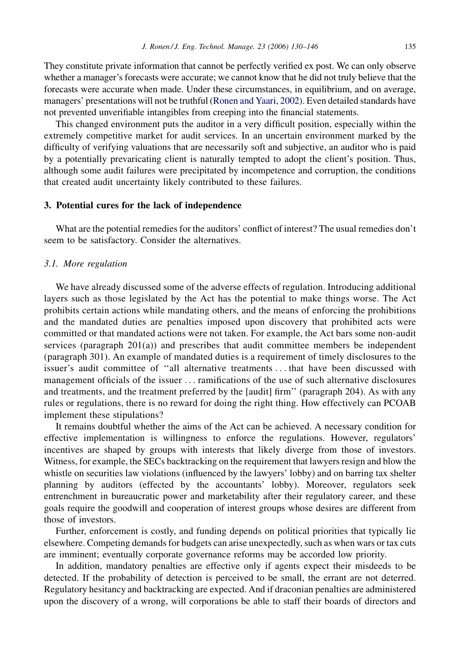They constitute private information that cannot be perfectly verified ex post. We can only observe whether a manager's forecasts were accurate; we cannot know that he did not truly believe that the forecasts were accurate when made. Under these circumstances, in equilibrium, and on average, managers' presentations will not be truthful [\(Ronen and Yaari, 2002\)](#page-16-0). Even detailed standards have not prevented unverifiable intangibles from creeping into the financial statements.

This changed environment puts the auditor in a very difficult position, especially within the extremely competitive market for audit services. In an uncertain environment marked by the difficulty of verifying valuations that are necessarily soft and subjective, an auditor who is paid by a potentially prevaricating client is naturally tempted to adopt the client's position. Thus, although some audit failures were precipitated by incompetence and corruption, the conditions that created audit uncertainty likely contributed to these failures.

#### 3. Potential cures for the lack of independence

What are the potential remedies for the auditors' conflict of interest? The usual remedies don't seem to be satisfactory. Consider the alternatives.

#### 3.1. More regulation

We have already discussed some of the adverse effects of regulation. Introducing additional layers such as those legislated by the Act has the potential to make things worse. The Act prohibits certain actions while mandating others, and the means of enforcing the prohibitions and the mandated duties are penalties imposed upon discovery that prohibited acts were committed or that mandated actions were not taken. For example, the Act bars some non-audit services (paragraph 201(a)) and prescribes that audit committee members be independent (paragraph 301). An example of mandated duties is a requirement of timely disclosures to the issuer's audit committee of ''all alternative treatments ... that have been discussed with management officials of the issuer ... ramifications of the use of such alternative disclosures and treatments, and the treatment preferred by the [audit] firm'' (paragraph 204). As with any rules or regulations, there is no reward for doing the right thing. How effectively can PCOAB implement these stipulations?

It remains doubtful whether the aims of the Act can be achieved. A necessary condition for effective implementation is willingness to enforce the regulations. However, regulators' incentives are shaped by groups with interests that likely diverge from those of investors. Witness, for example, the SECs backtracking on the requirement that lawyers resign and blow the whistle on securities law violations (influenced by the lawyers' lobby) and on barring tax shelter planning by auditors (effected by the accountants' lobby). Moreover, regulators seek entrenchment in bureaucratic power and marketability after their regulatory career, and these goals require the goodwill and cooperation of interest groups whose desires are different from those of investors.

Further, enforcement is costly, and funding depends on political priorities that typically lie elsewhere. Competing demands for budgets can arise unexpectedly, such as when wars or tax cuts are imminent; eventually corporate governance reforms may be accorded low priority.

In addition, mandatory penalties are effective only if agents expect their misdeeds to be detected. If the probability of detection is perceived to be small, the errant are not deterred. Regulatory hesitancy and backtracking are expected. And if draconian penalties are administered upon the discovery of a wrong, will corporations be able to staff their boards of directors and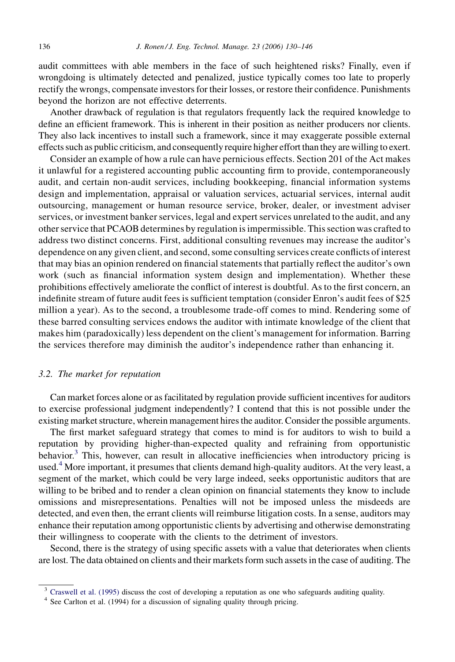audit committees with able members in the face of such heightened risks? Finally, even if wrongdoing is ultimately detected and penalized, justice typically comes too late to properly rectify the wrongs, compensate investors for their losses, or restore their confidence. Punishments beyond the horizon are not effective deterrents.

Another drawback of regulation is that regulators frequently lack the required knowledge to define an efficient framework. This is inherent in their position as neither producers nor clients. They also lack incentives to install such a framework, since it may exaggerate possible external effects such as public criticism, and consequently require higher effort than they are willing to exert.

Consider an example of how a rule can have pernicious effects. Section 201 of the Act makes it unlawful for a registered accounting public accounting firm to provide, contemporaneously audit, and certain non-audit services, including bookkeeping, financial information systems design and implementation, appraisal or valuation services, actuarial services, internal audit outsourcing, management or human resource service, broker, dealer, or investment adviser services, or investment banker services, legal and expert services unrelated to the audit, and any other service that PCAOB determines by regulation is impermissible. This section was crafted to address two distinct concerns. First, additional consulting revenues may increase the auditor's dependence on any given client, and second, some consulting services create conflicts of interest that may bias an opinion rendered on financial statements that partially reflect the auditor's own work (such as financial information system design and implementation). Whether these prohibitions effectively ameliorate the conflict of interest is doubtful. As to the first concern, an indefinite stream of future audit fees is sufficient temptation (consider Enron's audit fees of \$25 million a year). As to the second, a troublesome trade-off comes to mind. Rendering some of these barred consulting services endows the auditor with intimate knowledge of the client that makes him (paradoxically) less dependent on the client's management for information. Barring the services therefore may diminish the auditor's independence rather than enhancing it.

## 3.2. The market for reputation

Can market forces alone or as facilitated by regulation provide sufficient incentives for auditors to exercise professional judgment independently? I contend that this is not possible under the existing market structure, wherein management hires the auditor. Consider the possible arguments.

The first market safeguard strategy that comes to mind is for auditors to wish to build a reputation by providing higher-than-expected quality and refraining from opportunistic behavior.<sup>3</sup> This, however, can result in allocative inefficiencies when introductory pricing is used.<sup>4</sup> More important, it presumes that clients demand high-quality auditors. At the very least, a segment of the market, which could be very large indeed, seeks opportunistic auditors that are willing to be bribed and to render a clean opinion on financial statements they know to include omissions and misrepresentations. Penalties will not be imposed unless the misdeeds are detected, and even then, the errant clients will reimburse litigation costs. In a sense, auditors may enhance their reputation among opportunistic clients by advertising and otherwise demonstrating their willingness to cooperate with the clients to the detriment of investors.

Second, there is the strategy of using specific assets with a value that deteriorates when clients are lost. The data obtained on clients and their markets form such assets in the case of auditing. The

<sup>&</sup>lt;sup>3</sup> [Craswell et al. \(1995\)](#page-16-0) discuss the cost of developing a reputation as one who safeguards auditing quality.  $4$  See Carlton et al. (1994) for a discussion of signaling quality through pricing.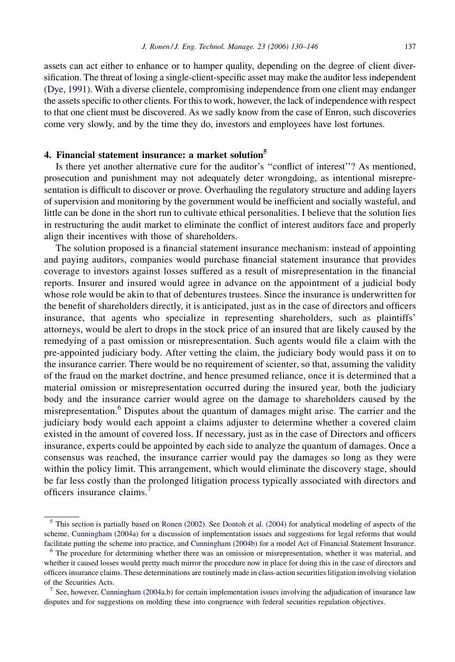assets can act either to enhance or to hamper quality, depending on the degree of client diversification. The threat of losing a single-client-specific asset may make the auditor less independent ([Dye, 1991](#page-16-0)). With a diverse clientele, compromising independence from one client may endanger the assets specific to other clients. For this to work, however, the lack of independence with respect to that one client must be discovered. As we sadly know from the case of Enron, such discoveries come very slowly, and by the time they do, investors and employees have lost fortunes.

## 4. Financial statement insurance: a market solution<sup>5</sup>

Is there yet another alternative cure for the auditor's ''conflict of interest''? As mentioned, prosecution and punishment may not adequately deter wrongdoing, as intentional misrepresentation is difficult to discover or prove. Overhauling the regulatory structure and adding layers of supervision and monitoring by the government would be inefficient and socially wasteful, and little can be done in the short run to cultivate ethical personalities. I believe that the solution lies in restructuring the audit market to eliminate the conflict of interest auditors face and properly align their incentives with those of shareholders.

The solution proposed is a financial statement insurance mechanism: instead of appointing and paying auditors, companies would purchase financial statement insurance that provides coverage to investors against losses suffered as a result of misrepresentation in the financial reports. Insurer and insured would agree in advance on the appointment of a judicial body whose role would be akin to that of debentures trustees. Since the insurance is underwritten for the benefit of shareholders directly, it is anticipated, just as in the case of directors and officers insurance, that agents who specialize in representing shareholders, such as plaintiffs' attorneys, would be alert to drops in the stock price of an insured that are likely caused by the remedying of a past omission or misrepresentation. Such agents would file a claim with the pre-appointed judiciary body. After vetting the claim, the judiciary body would pass it on to the insurance carrier. There would be no requirement of scienter, so that, assuming the validity of the fraud on the market doctrine, and hence presumed reliance, once it is determined that a material omission or misrepresentation occurred during the insured year, both the judiciary body and the insurance carrier would agree on the damage to shareholders caused by the misrepresentation.<sup>6</sup> Disputes about the quantum of damages might arise. The carrier and the judiciary body would each appoint a claims adjuster to determine whether a covered claim existed in the amount of covered loss. If necessary, just as in the case of Directors and officers insurance, experts could be appointed by each side to analyze the quantum of damages. Once a consensus was reached, the insurance carrier would pay the damages so long as they were within the policy limit. This arrangement, which would eliminate the discovery stage, should be far less costly than the prolonged litigation process typically associated with directors and officers insurance claims.<sup>7</sup>

<sup>5</sup> This section is partially based on [Ronen \(2002\).](#page-16-0) See [Dontoh et al. \(2004\)](#page-16-0) for analytical modeling of aspects of the scheme, [Cunningham \(2004a\)](#page-16-0) for a discussion of implementation issues and suggestions for legal reforms that would facilitate putting the scheme into practice, and [Cunningham \(2004b\)](#page-16-0) for a model Act of Financial Statement Insurance.<br><sup>6</sup> The procedure for determining whether there was an omission or misrepresentation, whether it was mat

whether it caused losses would pretty much mirror the procedure now in place for doing this in the case of directors and officers insurance claims. These determinations are routinely made in class-action securities litigation involving violation of the Securities Acts.

<sup>&</sup>lt;sup>7</sup> See, however, [Cunningham \(2004a,b\)](#page-16-0) for certain implementation issues involving the adjudication of insurance law disputes and for suggestions on molding these into congruence with federal securities regulation objectives.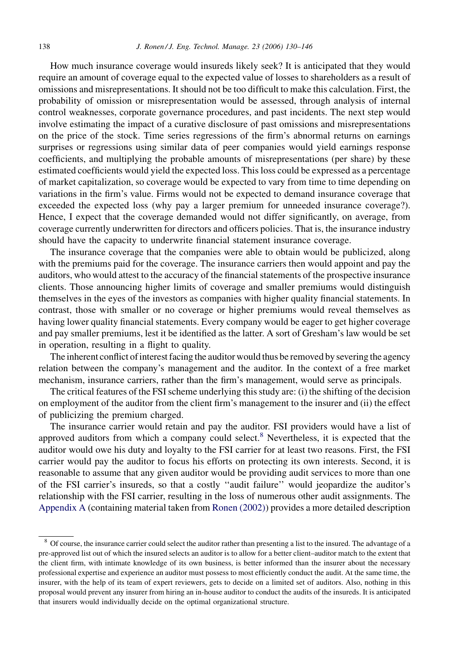How much insurance coverage would insureds likely seek? It is anticipated that they would require an amount of coverage equal to the expected value of losses to shareholders as a result of omissions and misrepresentations. It should not be too difficult to make this calculation. First, the probability of omission or misrepresentation would be assessed, through analysis of internal control weaknesses, corporate governance procedures, and past incidents. The next step would involve estimating the impact of a curative disclosure of past omissions and misrepresentations on the price of the stock. Time series regressions of the firm's abnormal returns on earnings surprises or regressions using similar data of peer companies would yield earnings response coefficients, and multiplying the probable amounts of misrepresentations (per share) by these estimated coefficients would yield the expected loss. This loss could be expressed as a percentage of market capitalization, so coverage would be expected to vary from time to time depending on variations in the firm's value. Firms would not be expected to demand insurance coverage that exceeded the expected loss (why pay a larger premium for unneeded insurance coverage?). Hence, I expect that the coverage demanded would not differ significantly, on average, from coverage currently underwritten for directors and officers policies. That is, the insurance industry should have the capacity to underwrite financial statement insurance coverage.

The insurance coverage that the companies were able to obtain would be publicized, along with the premiums paid for the coverage. The insurance carriers then would appoint and pay the auditors, who would attest to the accuracy of the financial statements of the prospective insurance clients. Those announcing higher limits of coverage and smaller premiums would distinguish themselves in the eyes of the investors as companies with higher quality financial statements. In contrast, those with smaller or no coverage or higher premiums would reveal themselves as having lower quality financial statements. Every company would be eager to get higher coverage and pay smaller premiums, lest it be identified as the latter. A sort of Gresham's law would be set in operation, resulting in a flight to quality.

The inherent conflict of interest facing the auditor would thus be removed by severing the agency relation between the company's management and the auditor. In the context of a free market mechanism, insurance carriers, rather than the firm's management, would serve as principals.

The critical features of the FSI scheme underlying this study are: (i) the shifting of the decision on employment of the auditor from the client firm's management to the insurer and (ii) the effect of publicizing the premium charged.

The insurance carrier would retain and pay the auditor. FSI providers would have a list of approved auditors from which a company could select.<sup>8</sup> Nevertheless, it is expected that the auditor would owe his duty and loyalty to the FSI carrier for at least two reasons. First, the FSI carrier would pay the auditor to focus his efforts on protecting its own interests. Second, it is reasonable to assume that any given auditor would be providing audit services to more than one of the FSI carrier's insureds, so that a costly ''audit failure'' would jeopardize the auditor's relationship with the FSI carrier, resulting in the loss of numerous other audit assignments. The [Appendix A](#page-13-0) (containing material taken from [Ronen \(2002\)](#page-16-0)) provides a more detailed description

<sup>&</sup>lt;sup>8</sup> Of course, the insurance carrier could select the auditor rather than presenting a list to the insured. The advantage of a pre-approved list out of which the insured selects an auditor is to allow for a better client–auditor match to the extent that the client firm, with intimate knowledge of its own business, is better informed than the insurer about the necessary professional expertise and experience an auditor must possess to most efficiently conduct the audit. At the same time, the insurer, with the help of its team of expert reviewers, gets to decide on a limited set of auditors. Also, nothing in this proposal would prevent any insurer from hiring an in-house auditor to conduct the audits of the insureds. It is anticipated that insurers would individually decide on the optimal organizational structure.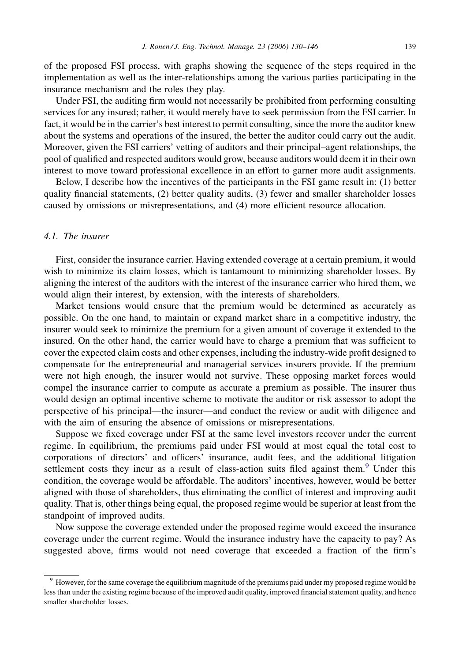of the proposed FSI process, with graphs showing the sequence of the steps required in the implementation as well as the inter-relationships among the various parties participating in the insurance mechanism and the roles they play.

Under FSI, the auditing firm would not necessarily be prohibited from performing consulting services for any insured; rather, it would merely have to seek permission from the FSI carrier. In fact, it would be in the carrier's best interest to permit consulting, since the more the auditor knew about the systems and operations of the insured, the better the auditor could carry out the audit. Moreover, given the FSI carriers' vetting of auditors and their principal–agent relationships, the pool of qualified and respected auditors would grow, because auditors would deem it in their own interest to move toward professional excellence in an effort to garner more audit assignments.

Below, I describe how the incentives of the participants in the FSI game result in: (1) better quality financial statements, (2) better quality audits, (3) fewer and smaller shareholder losses caused by omissions or misrepresentations, and (4) more efficient resource allocation.

## 4.1. The insurer

First, consider the insurance carrier. Having extended coverage at a certain premium, it would wish to minimize its claim losses, which is tantamount to minimizing shareholder losses. By aligning the interest of the auditors with the interest of the insurance carrier who hired them, we would align their interest, by extension, with the interests of shareholders.

Market tensions would ensure that the premium would be determined as accurately as possible. On the one hand, to maintain or expand market share in a competitive industry, the insurer would seek to minimize the premium for a given amount of coverage it extended to the insured. On the other hand, the carrier would have to charge a premium that was sufficient to cover the expected claim costs and other expenses, including the industry-wide profit designed to compensate for the entrepreneurial and managerial services insurers provide. If the premium were not high enough, the insurer would not survive. These opposing market forces would compel the insurance carrier to compute as accurate a premium as possible. The insurer thus would design an optimal incentive scheme to motivate the auditor or risk assessor to adopt the perspective of his principal—the insurer—and conduct the review or audit with diligence and with the aim of ensuring the absence of omissions or misrepresentations.

Suppose we fixed coverage under FSI at the same level investors recover under the current regime. In equilibrium, the premiums paid under FSI would at most equal the total cost to corporations of directors' and officers' insurance, audit fees, and the additional litigation settlement costs they incur as a result of class-action suits filed against them.<sup>9</sup> Under this condition, the coverage would be affordable. The auditors' incentives, however, would be better aligned with those of shareholders, thus eliminating the conflict of interest and improving audit quality. That is, other things being equal, the proposed regime would be superior at least from the standpoint of improved audits.

Now suppose the coverage extended under the proposed regime would exceed the insurance coverage under the current regime. Would the insurance industry have the capacity to pay? As suggested above, firms would not need coverage that exceeded a fraction of the firm's

<sup>9</sup> However, for the same coverage the equilibrium magnitude of the premiums paid under my proposed regime would be less than under the existing regime because of the improved audit quality, improved financial statement quality, and hence smaller shareholder losses.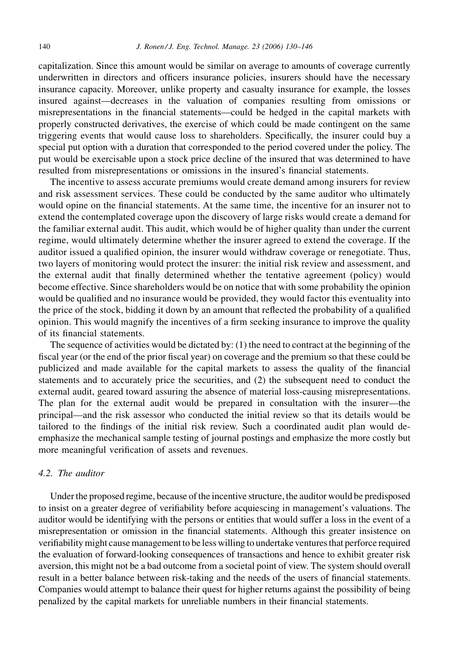capitalization. Since this amount would be similar on average to amounts of coverage currently underwritten in directors and officers insurance policies, insurers should have the necessary insurance capacity. Moreover, unlike property and casualty insurance for example, the losses insured against—decreases in the valuation of companies resulting from omissions or misrepresentations in the financial statements—could be hedged in the capital markets with properly constructed derivatives, the exercise of which could be made contingent on the same triggering events that would cause loss to shareholders. Specifically, the insurer could buy a special put option with a duration that corresponded to the period covered under the policy. The put would be exercisable upon a stock price decline of the insured that was determined to have resulted from misrepresentations or omissions in the insured's financial statements.

The incentive to assess accurate premiums would create demand among insurers for review and risk assessment services. These could be conducted by the same auditor who ultimately would opine on the financial statements. At the same time, the incentive for an insurer not to extend the contemplated coverage upon the discovery of large risks would create a demand for the familiar external audit. This audit, which would be of higher quality than under the current regime, would ultimately determine whether the insurer agreed to extend the coverage. If the auditor issued a qualified opinion, the insurer would withdraw coverage or renegotiate. Thus, two layers of monitoring would protect the insurer: the initial risk review and assessment, and the external audit that finally determined whether the tentative agreement (policy) would become effective. Since shareholders would be on notice that with some probability the opinion would be qualified and no insurance would be provided, they would factor this eventuality into the price of the stock, bidding it down by an amount that reflected the probability of a qualified opinion. This would magnify the incentives of a firm seeking insurance to improve the quality of its financial statements.

The sequence of activities would be dictated by: (1) the need to contract at the beginning of the fiscal year (or the end of the prior fiscal year) on coverage and the premium so that these could be publicized and made available for the capital markets to assess the quality of the financial statements and to accurately price the securities, and (2) the subsequent need to conduct the external audit, geared toward assuring the absence of material loss-causing misrepresentations. The plan for the external audit would be prepared in consultation with the insurer—the principal—and the risk assessor who conducted the initial review so that its details would be tailored to the findings of the initial risk review. Such a coordinated audit plan would deemphasize the mechanical sample testing of journal postings and emphasize the more costly but more meaningful verification of assets and revenues.

#### 4.2. The auditor

Under the proposed regime, because of the incentive structure, the auditor would be predisposed to insist on a greater degree of verifiability before acquiescing in management's valuations. The auditor would be identifying with the persons or entities that would suffer a loss in the event of a misrepresentation or omission in the financial statements. Although this greater insistence on verifiability might cause management to be less willing to undertake ventures that perforce required the evaluation of forward-looking consequences of transactions and hence to exhibit greater risk aversion, this might not be a bad outcome from a societal point of view. The system should overall result in a better balance between risk-taking and the needs of the users of financial statements. Companies would attempt to balance their quest for higher returns against the possibility of being penalized by the capital markets for unreliable numbers in their financial statements.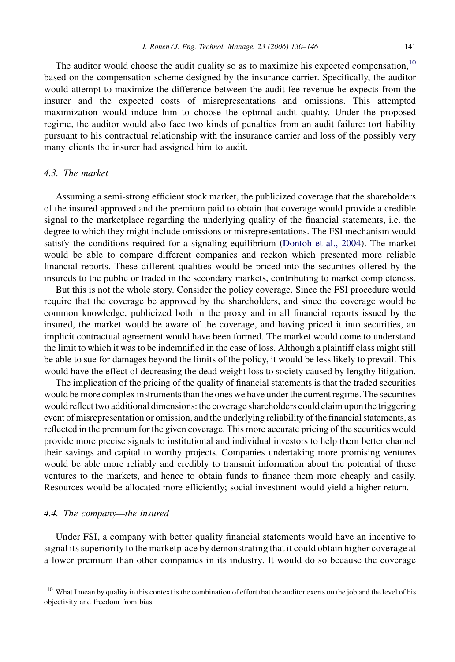The auditor would choose the audit quality so as to maximize his expected compensation, $10$ based on the compensation scheme designed by the insurance carrier. Specifically, the auditor would attempt to maximize the difference between the audit fee revenue he expects from the insurer and the expected costs of misrepresentations and omissions. This attempted maximization would induce him to choose the optimal audit quality. Under the proposed regime, the auditor would also face two kinds of penalties from an audit failure: tort liability pursuant to his contractual relationship with the insurance carrier and loss of the possibly very many clients the insurer had assigned him to audit.

## 4.3. The market

Assuming a semi-strong efficient stock market, the publicized coverage that the shareholders of the insured approved and the premium paid to obtain that coverage would provide a credible signal to the marketplace regarding the underlying quality of the financial statements, i.e. the degree to which they might include omissions or misrepresentations. The FSI mechanism would satisfy the conditions required for a signaling equilibrium ([Dontoh et al., 2004](#page-16-0)). The market would be able to compare different companies and reckon which presented more reliable financial reports. These different qualities would be priced into the securities offered by the insureds to the public or traded in the secondary markets, contributing to market completeness.

But this is not the whole story. Consider the policy coverage. Since the FSI procedure would require that the coverage be approved by the shareholders, and since the coverage would be common knowledge, publicized both in the proxy and in all financial reports issued by the insured, the market would be aware of the coverage, and having priced it into securities, an implicit contractual agreement would have been formed. The market would come to understand the limit to which it was to be indemnified in the case of loss. Although a plaintiff class might still be able to sue for damages beyond the limits of the policy, it would be less likely to prevail. This would have the effect of decreasing the dead weight loss to society caused by lengthy litigation.

The implication of the pricing of the quality of financial statements is that the traded securities would be more complex instruments than the ones we have under the current regime. The securities would reflect two additional dimensions: the coverage shareholders could claim upon the triggering event of misrepresentation or omission, and the underlying reliability of the financial statements, as reflected in the premium for the given coverage. This more accurate pricing of the securities would provide more precise signals to institutional and individual investors to help them better channel their savings and capital to worthy projects. Companies undertaking more promising ventures would be able more reliably and credibly to transmit information about the potential of these ventures to the markets, and hence to obtain funds to finance them more cheaply and easily. Resources would be allocated more efficiently; social investment would yield a higher return.

### 4.4. The company—the insured

Under FSI, a company with better quality financial statements would have an incentive to signal its superiority to the marketplace by demonstrating that it could obtain higher coverage at a lower premium than other companies in its industry. It would do so because the coverage

<sup>&</sup>lt;sup>10</sup> What I mean by quality in this context is the combination of effort that the auditor exerts on the job and the level of his objectivity and freedom from bias.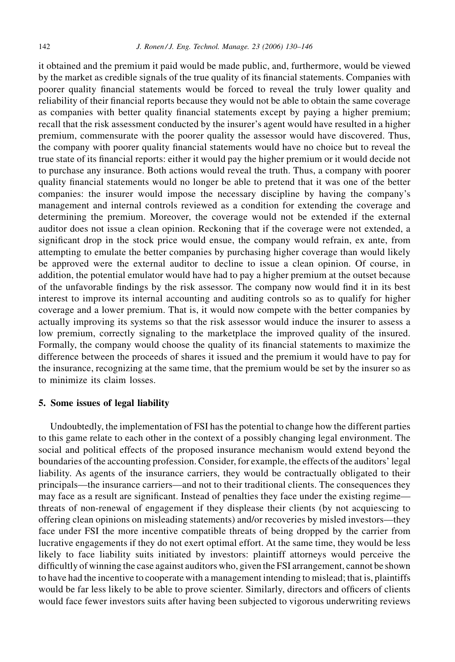it obtained and the premium it paid would be made public, and, furthermore, would be viewed by the market as credible signals of the true quality of its financial statements. Companies with poorer quality financial statements would be forced to reveal the truly lower quality and reliability of their financial reports because they would not be able to obtain the same coverage as companies with better quality financial statements except by paying a higher premium; recall that the risk assessment conducted by the insurer's agent would have resulted in a higher premium, commensurate with the poorer quality the assessor would have discovered. Thus, the company with poorer quality financial statements would have no choice but to reveal the true state of its financial reports: either it would pay the higher premium or it would decide not to purchase any insurance. Both actions would reveal the truth. Thus, a company with poorer quality financial statements would no longer be able to pretend that it was one of the better companies: the insurer would impose the necessary discipline by having the company's management and internal controls reviewed as a condition for extending the coverage and determining the premium. Moreover, the coverage would not be extended if the external auditor does not issue a clean opinion. Reckoning that if the coverage were not extended, a significant drop in the stock price would ensue, the company would refrain, ex ante, from attempting to emulate the better companies by purchasing higher coverage than would likely be approved were the external auditor to decline to issue a clean opinion. Of course, in addition, the potential emulator would have had to pay a higher premium at the outset because of the unfavorable findings by the risk assessor. The company now would find it in its best interest to improve its internal accounting and auditing controls so as to qualify for higher coverage and a lower premium. That is, it would now compete with the better companies by actually improving its systems so that the risk assessor would induce the insurer to assess a low premium, correctly signaling to the marketplace the improved quality of the insured. Formally, the company would choose the quality of its financial statements to maximize the difference between the proceeds of shares it issued and the premium it would have to pay for the insurance, recognizing at the same time, that the premium would be set by the insurer so as to minimize its claim losses.

## 5. Some issues of legal liability

Undoubtedly, the implementation of FSI has the potential to change how the different parties to this game relate to each other in the context of a possibly changing legal environment. The social and political effects of the proposed insurance mechanism would extend beyond the boundaries of the accounting profession. Consider, for example, the effects of the auditors' legal liability. As agents of the insurance carriers, they would be contractually obligated to their principals—the insurance carriers—and not to their traditional clients. The consequences they may face as a result are significant. Instead of penalties they face under the existing regime threats of non-renewal of engagement if they displease their clients (by not acquiescing to offering clean opinions on misleading statements) and/or recoveries by misled investors—they face under FSI the more incentive compatible threats of being dropped by the carrier from lucrative engagements if they do not exert optimal effort. At the same time, they would be less likely to face liability suits initiated by investors: plaintiff attorneys would perceive the difficultly of winning the case against auditors who, given the FSI arrangement, cannot be shown to have had the incentive to cooperate with a management intending to mislead; that is, plaintiffs would be far less likely to be able to prove scienter. Similarly, directors and officers of clients would face fewer investors suits after having been subjected to vigorous underwriting reviews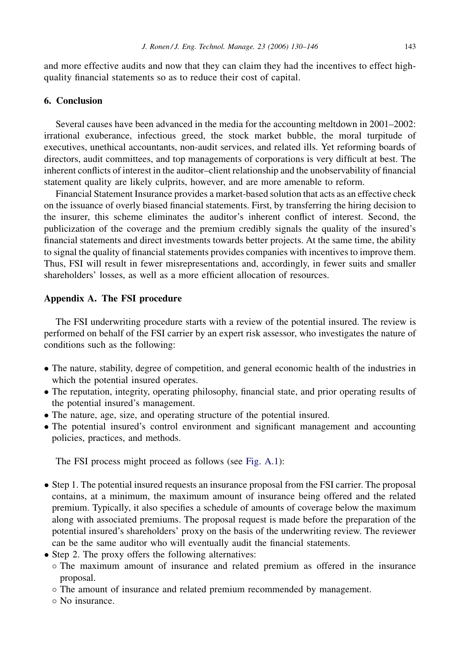<span id="page-13-0"></span>and more effective audits and now that they can claim they had the incentives to effect highquality financial statements so as to reduce their cost of capital.

#### 6. Conclusion

Several causes have been advanced in the media for the accounting meltdown in 2001–2002: irrational exuberance, infectious greed, the stock market bubble, the moral turpitude of executives, unethical accountants, non-audit services, and related ills. Yet reforming boards of directors, audit committees, and top managements of corporations is very difficult at best. The inherent conflicts of interest in the auditor–client relationship and the unobservability of financial statement quality are likely culprits, however, and are more amenable to reform.

Financial Statement Insurance provides a market-based solution that acts as an effective check on the issuance of overly biased financial statements. First, by transferring the hiring decision to the insurer, this scheme eliminates the auditor's inherent conflict of interest. Second, the publicization of the coverage and the premium credibly signals the quality of the insured's financial statements and direct investments towards better projects. At the same time, the ability to signal the quality of financial statements provides companies with incentives to improve them. Thus, FSI will result in fewer misrepresentations and, accordingly, in fewer suits and smaller shareholders' losses, as well as a more efficient allocation of resources.

#### Appendix A. The FSI procedure

The FSI underwriting procedure starts with a review of the potential insured. The review is performed on behalf of the FSI carrier by an expert risk assessor, who investigates the nature of conditions such as the following:

- The nature, stability, degree of competition, and general economic health of the industries in which the potential insured operates.
- The reputation, integrity, operating philosophy, financial state, and prior operating results of the potential insured's management.
- The nature, age, size, and operating structure of the potential insured.
- The potential insured's control environment and significant management and accounting policies, practices, and methods.

The FSI process might proceed as follows (see [Fig. A.1\)](#page-14-0):

- Step 1. The potential insured requests an insurance proposal from the FSI carrier. The proposal contains, at a minimum, the maximum amount of insurance being offered and the related premium. Typically, it also specifies a schedule of amounts of coverage below the maximum along with associated premiums. The proposal request is made before the preparation of the potential insured's shareholders' proxy on the basis of the underwriting review. The reviewer can be the same auditor who will eventually audit the financial statements.
- Step 2. The proxy offers the following alternatives:
	- The maximum amount of insurance and related premium as offered in the insurance proposal.
	- $\circ$  The amount of insurance and related premium recommended by management.
	- No insurance.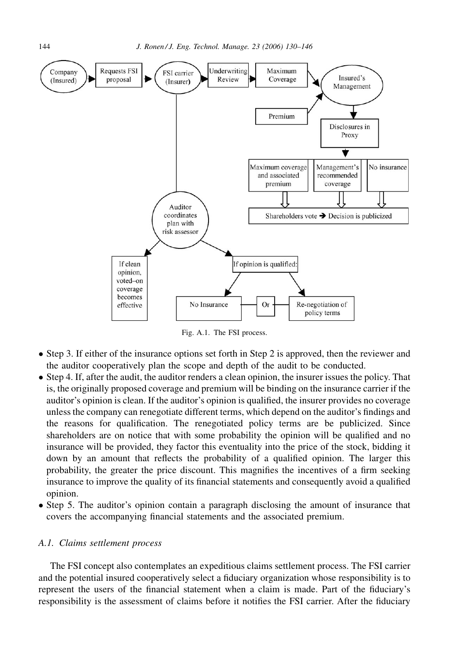<span id="page-14-0"></span>

Fig. A.1. The FSI process.

- Step 3. If either of the insurance options set forth in Step 2 is approved, then the reviewer and the auditor cooperatively plan the scope and depth of the audit to be conducted.
- Step 4. If, after the audit, the auditor renders a clean opinion, the insurer issues the policy. That is, the originally proposed coverage and premium will be binding on the insurance carrier if the auditor's opinion is clean. If the auditor's opinion is qualified, the insurer provides no coverage unless the company can renegotiate different terms, which depend on the auditor's findings and the reasons for qualification. The renegotiated policy terms are be publicized. Since shareholders are on notice that with some probability the opinion will be qualified and no insurance will be provided, they factor this eventuality into the price of the stock, bidding it down by an amount that reflects the probability of a qualified opinion. The larger this probability, the greater the price discount. This magnifies the incentives of a firm seeking insurance to improve the quality of its financial statements and consequently avoid a qualified opinion.
- Step 5. The auditor's opinion contain a paragraph disclosing the amount of insurance that covers the accompanying financial statements and the associated premium.

#### A.1. Claims settlement process

The FSI concept also contemplates an expeditious claims settlement process. The FSI carrier and the potential insured cooperatively select a fiduciary organization whose responsibility is to represent the users of the financial statement when a claim is made. Part of the fiduciary's responsibility is the assessment of claims before it notifies the FSI carrier. After the fiduciary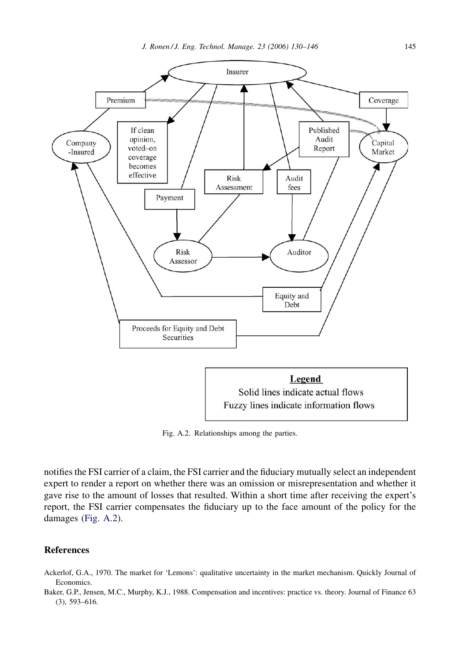<span id="page-15-0"></span>

Fuzzy lines indicate information flows

Fig. A.2. Relationships among the parties.

notifies the FSI carrier of a claim, the FSI carrier and the fiduciary mutually select an independent expert to render a report on whether there was an omission or misrepresentation and whether it gave rise to the amount of losses that resulted. Within a short time after receiving the expert's report, the FSI carrier compensates the fiduciary up to the face amount of the policy for the damages (Fig. A.2).

#### References

- Ackerlof, G.A., 1970. The market for 'Lemons': qualitative uncertainty in the market mechanism. Quickly Journal of Economics.
- Baker, G.P., Jensen, M.C., Murphy, K.J., 1988. Compensation and incentives: practice vs. theory. Journal of Finance 63 (3), 593–616.